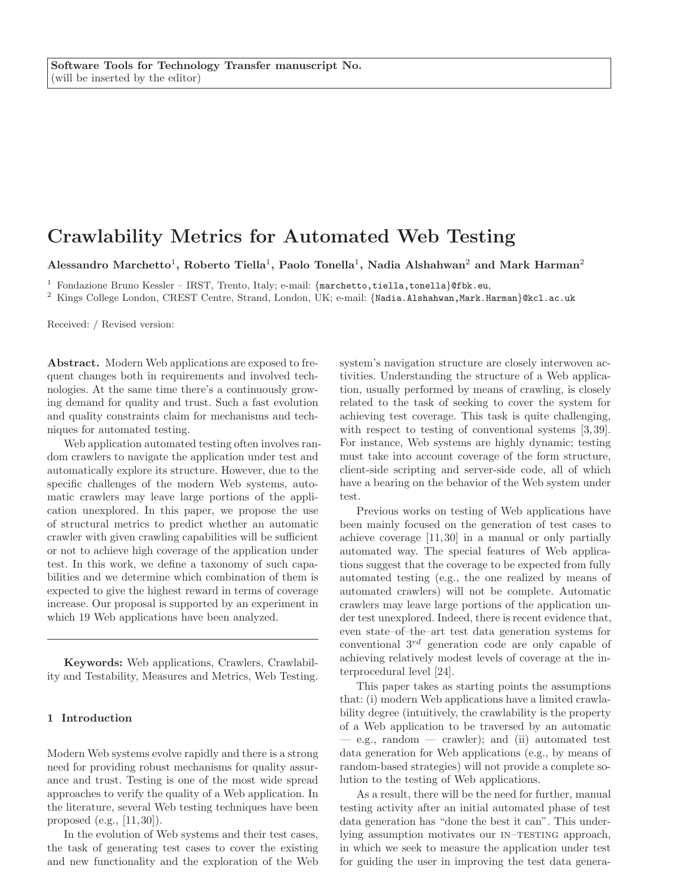# Crawlability Metrics for Automated Web Testing

Alessandro Marchetto<sup>1</sup>, Roberto Tiella<sup>1</sup>, Paolo Tonella<sup>1</sup>, Nadia Alshahwan<sup>2</sup> and Mark Harman<sup>2</sup>

<sup>1</sup> Fondazione Bruno Kessler – IRST, Trento, Italy; e-mail: {marchetto,tiella,tonella}@fbk.eu,

<sup>2</sup> Kings College London, CREST Centre, Strand, London, UK; e-mail: {Nadia.Alshahwan,Mark.Harman}@kcl.ac.uk

Received: / Revised version:

Abstract. Modern Web applications are exposed to frequent changes both in requirements and involved technologies. At the same time there's a continuously growing demand for quality and trust. Such a fast evolution and quality constraints claim for mechanisms and techniques for automated testing.

Web application automated testing often involves random crawlers to navigate the application under test and automatically explore its structure. However, due to the specific challenges of the modern Web systems, automatic crawlers may leave large portions of the application unexplored. In this paper, we propose the use of structural metrics to predict whether an automatic crawler with given crawling capabilities will be sufficient or not to achieve high coverage of the application under test. In this work, we define a taxonomy of such capabilities and we determine which combination of them is expected to give the highest reward in terms of coverage increase. Our proposal is supported by an experiment in which 19 Web applications have been analyzed.

Keywords: Web applications, Crawlers, Crawlability and Testability, Measures and Metrics, Web Testing.

#### 1 Introduction

Modern Web systems evolve rapidly and there is a strong need for providing robust mechanisms for quality assurance and trust. Testing is one of the most wide spread approaches to verify the quality of a Web application. In the literature, several Web testing techniques have been proposed (e.g., [11,30]).

In the evolution of Web systems and their test cases, the task of generating test cases to cover the existing and new functionality and the exploration of the Web system's navigation structure are closely interwoven activities. Understanding the structure of a Web application, usually performed by means of crawling, is closely related to the task of seeking to cover the system for achieving test coverage. This task is quite challenging, with respect to testing of conventional systems [3,39]. For instance, Web systems are highly dynamic; testing must take into account coverage of the form structure, client-side scripting and server-side code, all of which have a bearing on the behavior of the Web system under test.

Previous works on testing of Web applications have been mainly focused on the generation of test cases to achieve coverage [11,30] in a manual or only partially automated way. The special features of Web applications suggest that the coverage to be expected from fully automated testing (e.g., the one realized by means of automated crawlers) will not be complete. Automatic crawlers may leave large portions of the application under test unexplored. Indeed, there is recent evidence that, even state–of–the–art test data generation systems for conventional  $3^{rd}$  generation code are only capable of achieving relatively modest levels of coverage at the interprocedural level [24].

This paper takes as starting points the assumptions that: (i) modern Web applications have a limited crawlability degree (intuitively, the crawlability is the property of a Web application to be traversed by an automatic — e.g., random — crawler); and (ii) automated test data generation for Web applications (e.g., by means of random-based strategies) will not provide a complete solution to the testing of Web applications.

As a result, there will be the need for further, manual testing activity after an initial automated phase of test data generation has "done the best it can". This underlying assumption motivates our IN–TESTING approach, in which we seek to measure the application under test for guiding the user in improving the test data genera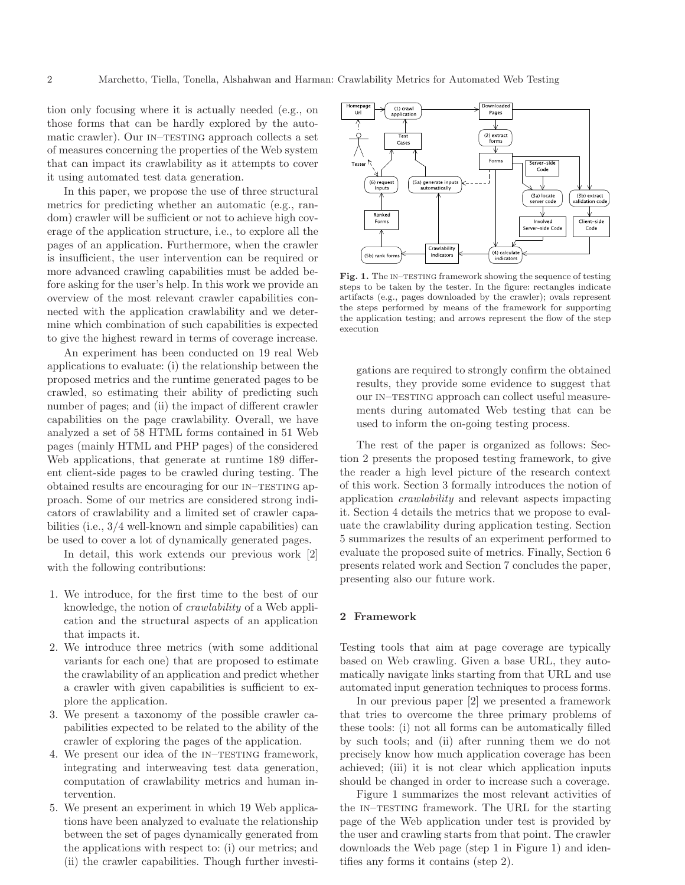tion only focusing where it is actually needed (e.g., on those forms that can be hardly explored by the automatic crawler). Our IN–TESTING approach collects a set of measures concerning the properties of the Web system that can impact its crawlability as it attempts to cover it using automated test data generation.

In this paper, we propose the use of three structural metrics for predicting whether an automatic (e.g., random) crawler will be sufficient or not to achieve high coverage of the application structure, i.e., to explore all the pages of an application. Furthermore, when the crawler is insufficient, the user intervention can be required or more advanced crawling capabilities must be added before asking for the user's help. In this work we provide an overview of the most relevant crawler capabilities connected with the application crawlability and we determine which combination of such capabilities is expected to give the highest reward in terms of coverage increase.

An experiment has been conducted on 19 real Web applications to evaluate: (i) the relationship between the proposed metrics and the runtime generated pages to be crawled, so estimating their ability of predicting such number of pages; and (ii) the impact of different crawler capabilities on the page crawlability. Overall, we have analyzed a set of 58 HTML forms contained in 51 Web pages (mainly HTML and PHP pages) of the considered Web applications, that generate at runtime 189 different client-side pages to be crawled during testing. The obtained results are encouraging for our IN–TESTING approach. Some of our metrics are considered strong indicators of crawlability and a limited set of crawler capabilities (i.e., 3/4 well-known and simple capabilities) can be used to cover a lot of dynamically generated pages.

In detail, this work extends our previous work [2] with the following contributions:

- 1. We introduce, for the first time to the best of our knowledge, the notion of crawlability of a Web application and the structural aspects of an application that impacts it.
- 2. We introduce three metrics (with some additional variants for each one) that are proposed to estimate the crawlability of an application and predict whether a crawler with given capabilities is sufficient to explore the application.
- 3. We present a taxonomy of the possible crawler capabilities expected to be related to the ability of the crawler of exploring the pages of the application.
- 4. We present our idea of the IN–TESTING framework, integrating and interweaving test data generation, computation of crawlability metrics and human intervention.
- 5. We present an experiment in which 19 Web applications have been analyzed to evaluate the relationship between the set of pages dynamically generated from the applications with respect to: (i) our metrics; and (ii) the crawler capabilities. Though further investi-



Fig. 1. The IN–TESTING framework showing the sequence of testing steps to be taken by the tester. In the figure: rectangles indicate artifacts (e.g., pages downloaded by the crawler); ovals represent the steps performed by means of the framework for supporting the application testing; and arrows represent the flow of the step execution

gations are required to strongly confirm the obtained results, they provide some evidence to suggest that our IN–TESTING approach can collect useful measurements during automated Web testing that can be used to inform the on-going testing process.

The rest of the paper is organized as follows: Section 2 presents the proposed testing framework, to give the reader a high level picture of the research context of this work. Section 3 formally introduces the notion of application crawlability and relevant aspects impacting it. Section 4 details the metrics that we propose to evaluate the crawlability during application testing. Section 5 summarizes the results of an experiment performed to evaluate the proposed suite of metrics. Finally, Section 6 presents related work and Section 7 concludes the paper, presenting also our future work.

#### 2 Framework

Testing tools that aim at page coverage are typically based on Web crawling. Given a base URL, they automatically navigate links starting from that URL and use automated input generation techniques to process forms.

In our previous paper [2] we presented a framework that tries to overcome the three primary problems of these tools: (i) not all forms can be automatically filled by such tools; and (ii) after running them we do not precisely know how much application coverage has been achieved; (iii) it is not clear which application inputs should be changed in order to increase such a coverage.

Figure 1 summarizes the most relevant activities of the IN–TESTING framework. The URL for the starting page of the Web application under test is provided by the user and crawling starts from that point. The crawler downloads the Web page (step 1 in Figure 1) and identifies any forms it contains (step 2).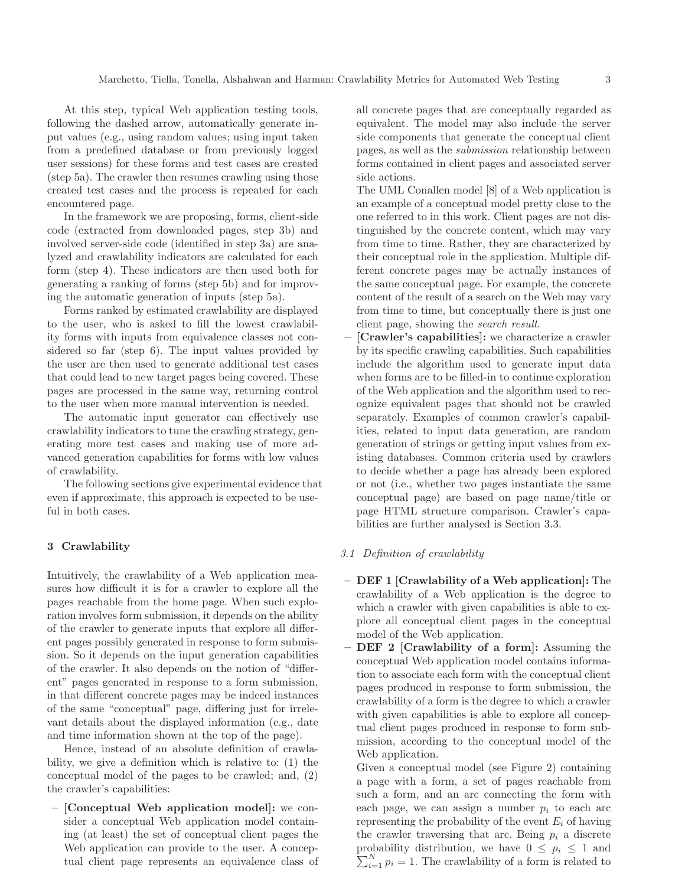At this step, typical Web application testing tools, following the dashed arrow, automatically generate input values (e.g., using random values; using input taken from a predefined database or from previously logged user sessions) for these forms and test cases are created (step 5a). The crawler then resumes crawling using those created test cases and the process is repeated for each encountered page.

In the framework we are proposing, forms, client-side code (extracted from downloaded pages, step 3b) and involved server-side code (identified in step 3a) are analyzed and crawlability indicators are calculated for each form (step 4). These indicators are then used both for generating a ranking of forms (step 5b) and for improving the automatic generation of inputs (step 5a).

Forms ranked by estimated crawlability are displayed to the user, who is asked to fill the lowest crawlability forms with inputs from equivalence classes not considered so far (step 6). The input values provided by the user are then used to generate additional test cases that could lead to new target pages being covered. These pages are processed in the same way, returning control to the user when more manual intervention is needed.

The automatic input generator can effectively use crawlability indicators to tune the crawling strategy, generating more test cases and making use of more advanced generation capabilities for forms with low values of crawlability.

The following sections give experimental evidence that even if approximate, this approach is expected to be useful in both cases.

# 3 Crawlability

Intuitively, the crawlability of a Web application measures how difficult it is for a crawler to explore all the pages reachable from the home page. When such exploration involves form submission, it depends on the ability of the crawler to generate inputs that explore all different pages possibly generated in response to form submission. So it depends on the input generation capabilities of the crawler. It also depends on the notion of "different" pages generated in response to a form submission, in that different concrete pages may be indeed instances of the same "conceptual" page, differing just for irrelevant details about the displayed information (e.g., date and time information shown at the top of the page).

Hence, instead of an absolute definition of crawlability, we give a definition which is relative to: (1) the conceptual model of the pages to be crawled; and, (2) the crawler's capabilities:

– [Conceptual Web application model]: we consider a conceptual Web application model containing (at least) the set of conceptual client pages the Web application can provide to the user. A conceptual client page represents an equivalence class of all concrete pages that are conceptually regarded as equivalent. The model may also include the server side components that generate the conceptual client pages, as well as the submission relationship between forms contained in client pages and associated server side actions.

The UML Conallen model [8] of a Web application is an example of a conceptual model pretty close to the one referred to in this work. Client pages are not distinguished by the concrete content, which may vary from time to time. Rather, they are characterized by their conceptual role in the application. Multiple different concrete pages may be actually instances of the same conceptual page. For example, the concrete content of the result of a search on the Web may vary from time to time, but conceptually there is just one client page, showing the search result.

– [Crawler's capabilities]: we characterize a crawler by its specific crawling capabilities. Such capabilities include the algorithm used to generate input data when forms are to be filled-in to continue exploration of the Web application and the algorithm used to recognize equivalent pages that should not be crawled separately. Examples of common crawler's capabilities, related to input data generation, are random generation of strings or getting input values from existing databases. Common criteria used by crawlers to decide whether a page has already been explored or not (i.e., whether two pages instantiate the same conceptual page) are based on page name/title or page HTML structure comparison. Crawler's capabilities are further analysed is Section 3.3.

# 3.1 Definition of crawlability

- DEF 1 [Crawlability of a Web application]: The crawlability of a Web application is the degree to which a crawler with given capabilities is able to explore all conceptual client pages in the conceptual model of the Web application.
- DEF 2 [Crawlability of a form]: Assuming the conceptual Web application model contains information to associate each form with the conceptual client pages produced in response to form submission, the crawlability of a form is the degree to which a crawler with given capabilities is able to explore all conceptual client pages produced in response to form submission, according to the conceptual model of the Web application.

Given a conceptual model (see Figure 2) containing a page with a form, a set of pages reachable from such a form, and an arc connecting the form with each page, we can assign a number  $p_i$  to each arc representing the probability of the event  $E_i$  of having the crawler traversing that arc. Being  $p_i$  a discrete  $\sum_{i=1}^{N} p_i = 1$ . The crawlability of a form is related to probability distribution, we have  $0 \leq p_i \leq 1$  and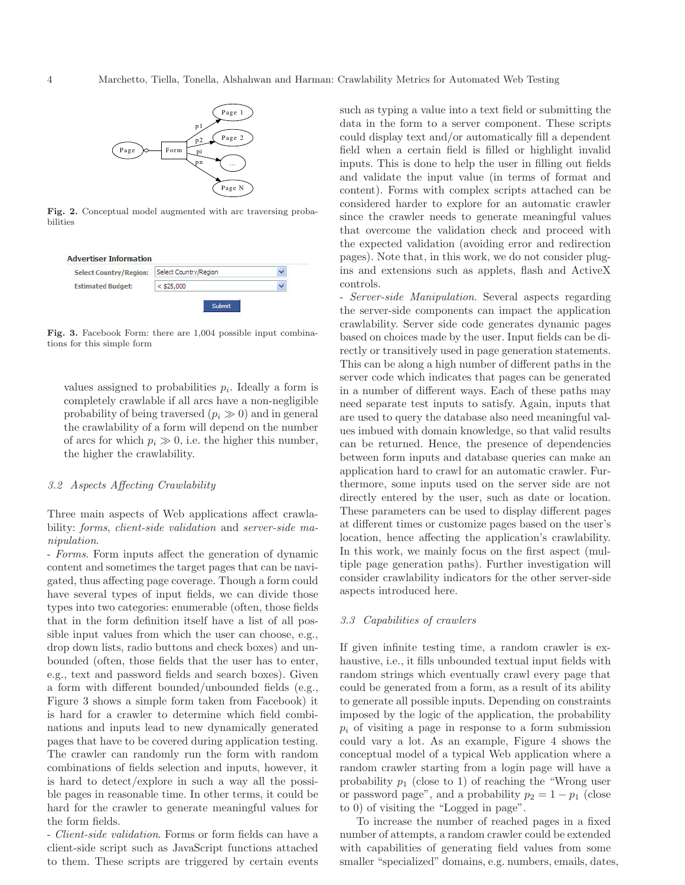

Fig. 2. Conceptual model augmented with arc traversing probabilities

| <b>Select Country/Region:</b> | Select Country/Region |  |
|-------------------------------|-----------------------|--|
| <b>Estimated Budget:</b>      | $<$ \$25,000          |  |

Fig. 3. Facebook Form: there are 1,004 possible input combinations for this simple form

values assigned to probabilities  $p_i$ . Ideally a form is completely crawlable if all arcs have a non-negligible probability of being traversed  $(p_i \gg 0)$  and in general the crawlability of a form will depend on the number of arcs for which  $p_i \gg 0$ , i.e. the higher this number, the higher the crawlability.

#### 3.2 Aspects Affecting Crawlability

Three main aspects of Web applications affect crawlability: forms, client-side validation and server-side manipulation.

- Forms. Form inputs affect the generation of dynamic content and sometimes the target pages that can be navigated, thus affecting page coverage. Though a form could have several types of input fields, we can divide those types into two categories: enumerable (often, those fields that in the form definition itself have a list of all possible input values from which the user can choose, e.g., drop down lists, radio buttons and check boxes) and unbounded (often, those fields that the user has to enter, e.g., text and password fields and search boxes). Given a form with different bounded/unbounded fields (e.g., Figure 3 shows a simple form taken from Facebook) it is hard for a crawler to determine which field combinations and inputs lead to new dynamically generated pages that have to be covered during application testing. The crawler can randomly run the form with random combinations of fields selection and inputs, however, it is hard to detect/explore in such a way all the possible pages in reasonable time. In other terms, it could be hard for the crawler to generate meaningful values for the form fields.

- Client-side validation. Forms or form fields can have a client-side script such as JavaScript functions attached to them. These scripts are triggered by certain events such as typing a value into a text field or submitting the data in the form to a server component. These scripts could display text and/or automatically fill a dependent field when a certain field is filled or highlight invalid inputs. This is done to help the user in filling out fields and validate the input value (in terms of format and content). Forms with complex scripts attached can be considered harder to explore for an automatic crawler since the crawler needs to generate meaningful values that overcome the validation check and proceed with the expected validation (avoiding error and redirection pages). Note that, in this work, we do not consider plugins and extensions such as applets, flash and ActiveX controls.

- Server-side Manipulation. Several aspects regarding the server-side components can impact the application crawlability. Server side code generates dynamic pages based on choices made by the user. Input fields can be directly or transitively used in page generation statements. This can be along a high number of different paths in the server code which indicates that pages can be generated in a number of different ways. Each of these paths may need separate test inputs to satisfy. Again, inputs that are used to query the database also need meaningful values imbued with domain knowledge, so that valid results can be returned. Hence, the presence of dependencies between form inputs and database queries can make an application hard to crawl for an automatic crawler. Furthermore, some inputs used on the server side are not directly entered by the user, such as date or location. These parameters can be used to display different pages at different times or customize pages based on the user's location, hence affecting the application's crawlability. In this work, we mainly focus on the first aspect (multiple page generation paths). Further investigation will consider crawlability indicators for the other server-side aspects introduced here.

#### 3.3 Capabilities of crawlers

If given infinite testing time, a random crawler is exhaustive, i.e., it fills unbounded textual input fields with random strings which eventually crawl every page that could be generated from a form, as a result of its ability to generate all possible inputs. Depending on constraints imposed by the logic of the application, the probability  $p_i$  of visiting a page in response to a form submission could vary a lot. As an example, Figure 4 shows the conceptual model of a typical Web application where a random crawler starting from a login page will have a probability  $p_1$  (close to 1) of reaching the "Wrong user or password page", and a probability  $p_2 = 1 - p_1$  (close to 0) of visiting the "Logged in page".

To increase the number of reached pages in a fixed number of attempts, a random crawler could be extended with capabilities of generating field values from some smaller "specialized" domains, e.g. numbers, emails, dates,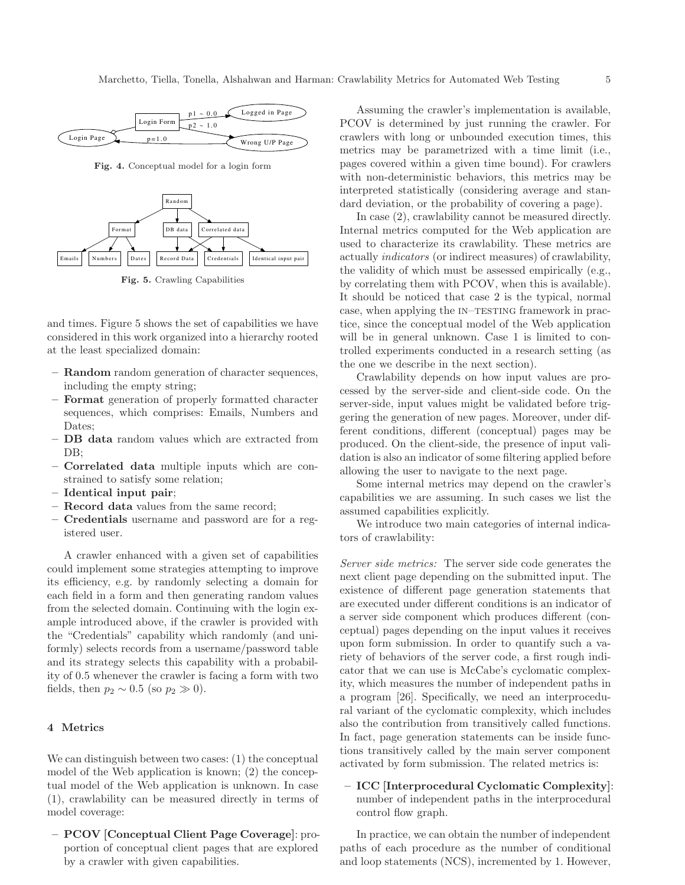

Fig. 4. Conceptual model for a login form



Fig. 5. Crawling Capabilities

and times. Figure 5 shows the set of capabilities we have considered in this work organized into a hierarchy rooted at the least specialized domain:

- Random random generation of character sequences, including the empty string;
- Format generation of properly formatted character sequences, which comprises: Emails, Numbers and Dates:
- DB data random values which are extracted from DB;
- Correlated data multiple inputs which are constrained to satisfy some relation;
- Identical input pair;
- Record data values from the same record;
- Credentials username and password are for a registered user.

A crawler enhanced with a given set of capabilities could implement some strategies attempting to improve its efficiency, e.g. by randomly selecting a domain for each field in a form and then generating random values from the selected domain. Continuing with the login example introduced above, if the crawler is provided with the "Credentials" capability which randomly (and uniformly) selects records from a username/password table and its strategy selects this capability with a probability of 0.5 whenever the crawler is facing a form with two fields, then  $p_2 \sim 0.5$  (so  $p_2 \gg 0$ ).

# 4 Metrics

We can distinguish between two cases: (1) the conceptual model of the Web application is known; (2) the conceptual model of the Web application is unknown. In case (1), crawlability can be measured directly in terms of model coverage:

– PCOV [Conceptual Client Page Coverage]: proportion of conceptual client pages that are explored by a crawler with given capabilities.

Assuming the crawler's implementation is available, PCOV is determined by just running the crawler. For crawlers with long or unbounded execution times, this metrics may be parametrized with a time limit (i.e., pages covered within a given time bound). For crawlers with non-deterministic behaviors, this metrics may be interpreted statistically (considering average and standard deviation, or the probability of covering a page).

In case (2), crawlability cannot be measured directly. Internal metrics computed for the Web application are used to characterize its crawlability. These metrics are actually indicators (or indirect measures) of crawlability, the validity of which must be assessed empirically (e.g., by correlating them with PCOV, when this is available). It should be noticed that case 2 is the typical, normal case, when applying the IN–TESTING framework in practice, since the conceptual model of the Web application will be in general unknown. Case 1 is limited to controlled experiments conducted in a research setting (as the one we describe in the next section).

Crawlability depends on how input values are processed by the server-side and client-side code. On the server-side, input values might be validated before triggering the generation of new pages. Moreover, under different conditions, different (conceptual) pages may be produced. On the client-side, the presence of input validation is also an indicator of some filtering applied before allowing the user to navigate to the next page.

Some internal metrics may depend on the crawler's capabilities we are assuming. In such cases we list the assumed capabilities explicitly.

We introduce two main categories of internal indicators of crawlability:

Server side metrics: The server side code generates the next client page depending on the submitted input. The existence of different page generation statements that are executed under different conditions is an indicator of a server side component which produces different (conceptual) pages depending on the input values it receives upon form submission. In order to quantify such a variety of behaviors of the server code, a first rough indicator that we can use is McCabe's cyclomatic complexity, which measures the number of independent paths in a program [26]. Specifically, we need an interprocedural variant of the cyclomatic complexity, which includes also the contribution from transitively called functions. In fact, page generation statements can be inside functions transitively called by the main server component activated by form submission. The related metrics is:

– ICC [Interprocedural Cyclomatic Complexity]: number of independent paths in the interprocedural control flow graph.

In practice, we can obtain the number of independent paths of each procedure as the number of conditional and loop statements (NCS), incremented by 1. However,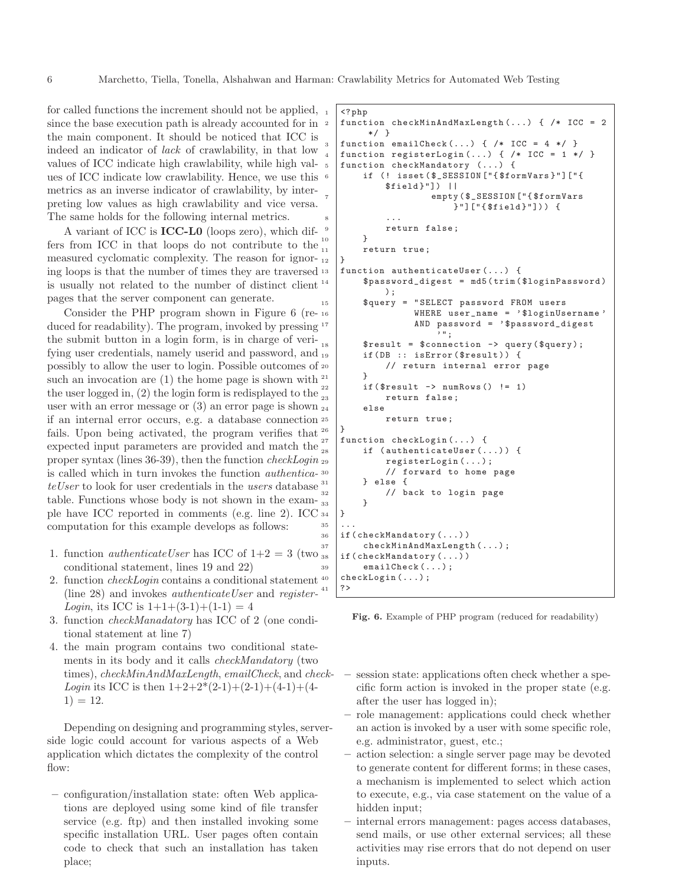for called functions the increment should not be applied,  $_1$ since the base execution path is already accounted for in  $\frac{1}{2}$ the main component. It should be noticed that ICC is indeed an indicator of lack of crawlability, in that low values of ICC indicate high crawlability, while high values of ICC indicate low crawlability. Hence, we use this metrics as an inverse indicator of crawlability, by interpreting low values as high crawlability and vice versa. The same holds for the following internal metrics.

A variant of ICC is ICC-L0 (loops zero), which differs from ICC in that loops do not contribute to the  $\frac{10}{11}$ measured cyclomatic complexity. The reason for ignor- $_{12}$  |} ing loops is that the number of times they are traversed is usually not related to the number of distinct client  $14$ pages that the server component can generate.

Consider the PHP program shown in Figure 6 (reduced for readability). The program, invoked by pressing  $17$ the submit button in a login form, is in charge of veri- $_{18}$ fying user credentials, namely userid and password, and <sub>19</sub> possibly to allow the user to login. Possible outcomes of such an invocation are (1) the home page is shown with  $21 \frac{1}{2}$ the user logged in, (2) the login form is redisplayed to the  $\frac{^{22}}{^{23}}$ user with an error message or  $(3)$  an error page is shown  $_{24}$ if an internal error occurs, e.g. a database connection fails. Upon being activated, the program verifies that  $\begin{bmatrix} 2^6 \\ 4 \end{bmatrix}$ expected input parameters are provided and match the proper syntax (lines 36-39), then the function *checkLogin*  $_{29}$ is called which in turn invokes the function *authentica*-<sup>30</sup>  $te {\it User}$  to look for user credentials in the  $users$  database  $^{31}$ table. Functions whose body is not shown in the exam- $\frac{3}{33}$   $\qquad$ ple have ICC reported in comments (e.g. line 2). ICC  $34$  |} computation for this example develops as follows: <sup>35</sup> ...

- 1. function *authenticateUser* has ICC of  $1+2=3$  (two <sub>38</sub>) conditional statement, lines 19 and 22)
- 2. function  $checkLogin$  contains a conditional statement  $40$ (line 28) and invokes *authenticateUser* and *register-Login*, its ICC is  $1+1+(3-1)+(1-1) = 4$
- 3. function checkManadatory has ICC of 2 (one conditional statement at line 7)
- 4. the main program contains two conditional statements in its body and it calls checkMandatory (two times), checkMinAndMaxLength, emailCheck, and check-*Login* its ICC is then  $1+2+2*(2-1)+(2-1)+(4-1)+(4-1)$  $1) = 12.$

Depending on designing and programming styles, serverside logic could account for various aspects of a Web application which dictates the complexity of the control flow:

– configuration/installation state: often Web applications are deployed using some kind of file transfer service (e.g. ftp) and then installed invoking some specific installation URL. User pages often contain code to check that such an installation has taken place;

```
1 <? php
   2 function checkMinAndMaxLength (...) { /* ICC = 2
         */ }
   function emailCheck (\ldots) { /* ICC = 4 */ }
   function registerLogin (...) { /* ICC = 1 */ }
   function checkMandatory (...) {
        6 if (! isset ( $_SESSION ["{ $formVars }"]["{
            $field }"]) ||
                     empty ($_SESSION ["{$formVars
                         }"]["{ $field }"]) ) {
            8 ...
        return false;<br>}
        return true:
   function authenticateUser (\ldots) {
        14 $password_digest = md5 ( trim ( $loginPassword )
           ) ;
15 | $query = "SELECT password FROM users
                  WHERE user_name = '$loginUsername
                 AND password = '$password_digest
                      '";
        18 $result = $connection -> query ( $query ) ;
        if (DB :: isError ($result)) {
            // return internal error page
        if ($result \rightarrow numRows() != 1)return false;
        else
            return true:
   function checkLogin(...) {
        if ( authenticateUser( \ldots ) ) {
            registerLogin (...);
            // forward to home page
        31 } else {
            // back to login page
36 if ( checkMandatory (...) )
        checkMinAndMaxLength (...) ;
   if (checkMandatory (...))39 emailCheck (...);
   checkLogin (...);
   32
```
Fig. 6. Example of PHP program (reduced for readability)

- session state: applications often check whether a specific form action is invoked in the proper state (e.g. after the user has logged in);
- role management: applications could check whether an action is invoked by a user with some specific role, e.g. administrator, guest, etc.;
- action selection: a single server page may be devoted to generate content for different forms; in these cases, a mechanism is implemented to select which action to execute, e.g., via case statement on the value of a hidden input;
- internal errors management: pages access databases, send mails, or use other external services; all these activities may rise errors that do not depend on user inputs.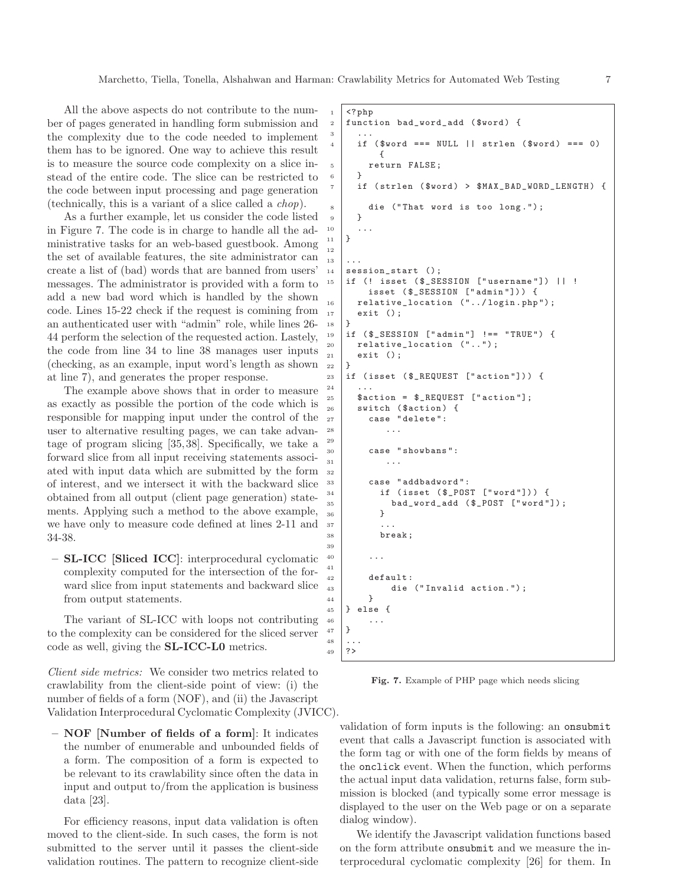All the above aspects do not contribute to the number of pages generated in handling form submission and the complexity due to the code needed to implement them has to be ignored. One way to achieve this result is to measure the source code complexity on a slice instead of the entire code. The slice can be restricted to the code between input processing and page generation (technically, this is a variant of a slice called a chop).

As a further example, let us consider the code listed in Figure 7. The code is in charge to handle all the administrative tasks for an web-based guestbook. Among the set of available features, the site administrator can create a list of (bad) words that are banned from users' messages. The administrator is provided with a form to add a new bad word which is handled by the shown code. Lines 15-22 check if the request is comining from an authenticated user with "admin" role, while lines 26- 44 perform the selection of the requested action. Lastely, the code from line 34 to line 38 manages user inputs (checking, as an example, input word's length as shown at line 7), and generates the proper response.

The example above shows that in order to measure as exactly as possible the portion of the code which is responsible for mapping input under the control of the user to alternative resulting pages, we can take advantage of program slicing [35,38]. Specifically, we take a forward slice from all input receiving statements associated with input data which are submitted by the form of interest, and we intersect it with the backward slice obtained from all output (client page generation) statements. Applying such a method to the above example, we have only to measure code defined at lines 2-11 and 34-38.

– SL-ICC [Sliced ICC]: interprocedural cyclomatic complexity computed for the intersection of the forward slice from input statements and backward slice from output statements.

The variant of SL-ICC with loops not contributing to the complexity can be considered for the sliced server code as well, giving the SL-ICC-L0 metrics.

Client side metrics: We consider two metrics related to crawlability from the client-side point of view: (i) the number of fields of a form (NOF), and (ii) the Javascript Validation Interprocedural Cyclomatic Complexity (JVICC).

– NOF [Number of fields of a form]: It indicates the number of enumerable and unbounded fields of a form. The composition of a form is expected to be relevant to its crawlability since often the data in input and output to/from the application is business data [23].

For efficiency reasons, input data validation is often moved to the client-side. In such cases, the form is not submitted to the server until it passes the client-side validation routines. The pattern to recognize client-side

```
1 \mid <? php
2 function bad_word_add ($word) {
 3 \mid \ldots_4 | if ($word === NULL || strlen ($word) === 0)
         {
5 return FALSE;
6 }
 7 if (strlen ($word) > $MAX_BAD_WORD_LENGTH) {
 8 die ("That word is too long.");
9 }
10\,11 \mid \}12
13 ...
14 session_start ();
15 | if (! isset ($_SESSION ["username"]) || !
       isset ( $_SESSION [" admin "]) ) {
16 relative_location ("../login.php");
17 exit ():
18 \mid }
19 if ( \S_SESSION ["admin"] !== "TRUE") {
20 relative_location ("..");
_{21} | exit ();
22 \mid_{23} | if (isset (\text{\$_REQUEST ["action"])) {
24 ...
25 $action = $_REQUEST ["action"];
26 Switch ($action) {
27 case "delete":
28 \qquad \qquad \ldots29
30 case " showbans ":
31 ...
32
33 case " addbadword ":
34 if ( isset ( $_POST [" word "]) ) {
35 bad_word_add ( $_POST [" word "]) ;
36 }
37 ...
38 break ;
39
40 ...
41
42 default :
43 die (" Invalid action .") ;
44 }
45 \uparrow else f
46 ...
47 \mid \}48 ...
49 | ?>
```
Fig. 7. Example of PHP page which needs slicing

validation of form inputs is the following: an onsubmit event that calls a Javascript function is associated with the form tag or with one of the form fields by means of the onclick event. When the function, which performs the actual input data validation, returns false, form submission is blocked (and typically some error message is displayed to the user on the Web page or on a separate dialog window).

We identify the Javascript validation functions based on the form attribute onsubmit and we measure the interprocedural cyclomatic complexity [26] for them. In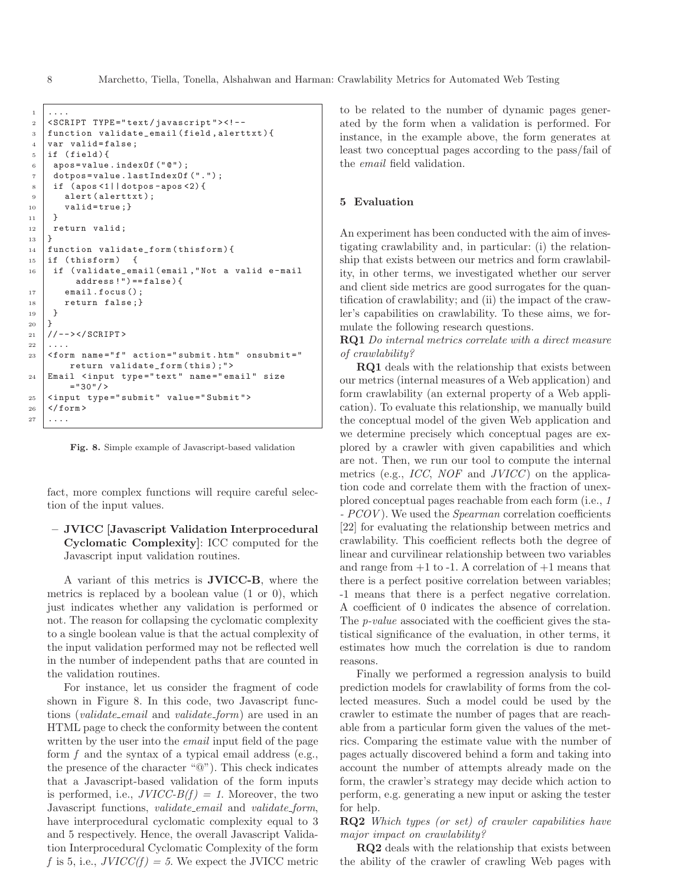```
1 \mid \ldots2 < SCRIPT TYPE="text/javascript"><!--
3 function validate_email ( field , alerttxt ){
    var valid=false;
 5 \mid \text{if} \text{ (field)} \6 \mid \text{apos = value.indexOf("@");}7 dotpos = value . lastIndexOf (".") ;
8 \mid \text{if} (\text{apos} < 1) | \text{dotpos} - \text{apos} < 2)9 alert (alerttxt);
_{10} valid=true; }
11 \mid \}12 return valid;
13 \mid }
14 function validate_form (thisform) {
15 if (thisform) {
16 if (validate_email (email, "Not a valid e-mail
          address!") ==false}{
17 email . focus ();
18 return false; }
19 }
20 \mid }
_{21} //--></SCRIPT>
22 ....
23 <form name="f" action="submit.htm" onsubmit="
        return validate_form ( this ) ;" >
24 Email < input type =" text " name =" email " size
        = "30"/>
25 < input type =" submit " value =" Submit ">
26 \leq \sqrt{f}orm >
27 ....
```
Fig. 8. Simple example of Javascript-based validation

fact, more complex functions will require careful selection of the input values.

– JVICC [Javascript Validation Interprocedural Cyclomatic Complexity]: ICC computed for the Javascript input validation routines.

A variant of this metrics is JVICC-B, where the metrics is replaced by a boolean value (1 or 0), which just indicates whether any validation is performed or not. The reason for collapsing the cyclomatic complexity to a single boolean value is that the actual complexity of the input validation performed may not be reflected well in the number of independent paths that are counted in the validation routines.

For instance, let us consider the fragment of code shown in Figure 8. In this code, two Javascript functions (*validate\_email* and *validate\_form*) are used in an HTML page to check the conformity between the content written by the user into the *email* input field of the page form  $f$  and the syntax of a typical email address (e.g., the presence of the character "@"). This check indicates that a Javascript-based validation of the form inputs is performed, i.e.,  $JVICC-B(f) = 1$ . Moreover, the two Javascript functions, *validate\_email* and *validate\_form*, have interprocedural cyclomatic complexity equal to 3 and 5 respectively. Hence, the overall Javascript Validation Interprocedural Cyclomatic Complexity of the form f is 5, i.e.,  $JVICC(f) = 5$ . We expect the JVICC metric to be related to the number of dynamic pages generated by the form when a validation is performed. For instance, in the example above, the form generates at least two conceptual pages according to the pass/fail of the email field validation.

### 5 Evaluation

An experiment has been conducted with the aim of investigating crawlability and, in particular: (i) the relationship that exists between our metrics and form crawlability, in other terms, we investigated whether our server and client side metrics are good surrogates for the quantification of crawlability; and (ii) the impact of the crawler's capabilities on crawlability. To these aims, we formulate the following research questions.

RQ1 Do internal metrics correlate with a direct measure of crawlability?

RQ1 deals with the relationship that exists between our metrics (internal measures of a Web application) and form crawlability (an external property of a Web application). To evaluate this relationship, we manually build the conceptual model of the given Web application and we determine precisely which conceptual pages are explored by a crawler with given capabilities and which are not. Then, we run our tool to compute the internal metrics (e.g., *ICC*, *NOF* and *JVICC*) on the application code and correlate them with the fraction of unexplored conceptual pages reachable from each form (i.e., 1 - PCOV). We used the *Spearman* correlation coefficients [22] for evaluating the relationship between metrics and crawlability. This coefficient reflects both the degree of linear and curvilinear relationship between two variables and range from  $+1$  to  $-1$ . A correlation of  $+1$  means that there is a perfect positive correlation between variables; -1 means that there is a perfect negative correlation. A coefficient of 0 indicates the absence of correlation. The p-value associated with the coefficient gives the statistical significance of the evaluation, in other terms, it estimates how much the correlation is due to random reasons.

Finally we performed a regression analysis to build prediction models for crawlability of forms from the collected measures. Such a model could be used by the crawler to estimate the number of pages that are reachable from a particular form given the values of the metrics. Comparing the estimate value with the number of pages actually discovered behind a form and taking into account the number of attempts already made on the form, the crawler's strategy may decide which action to perform, e.g. generating a new input or asking the tester for help.

#### RQ2 Which types (or set) of crawler capabilities have major impact on crawlability?

RQ2 deals with the relationship that exists between the ability of the crawler of crawling Web pages with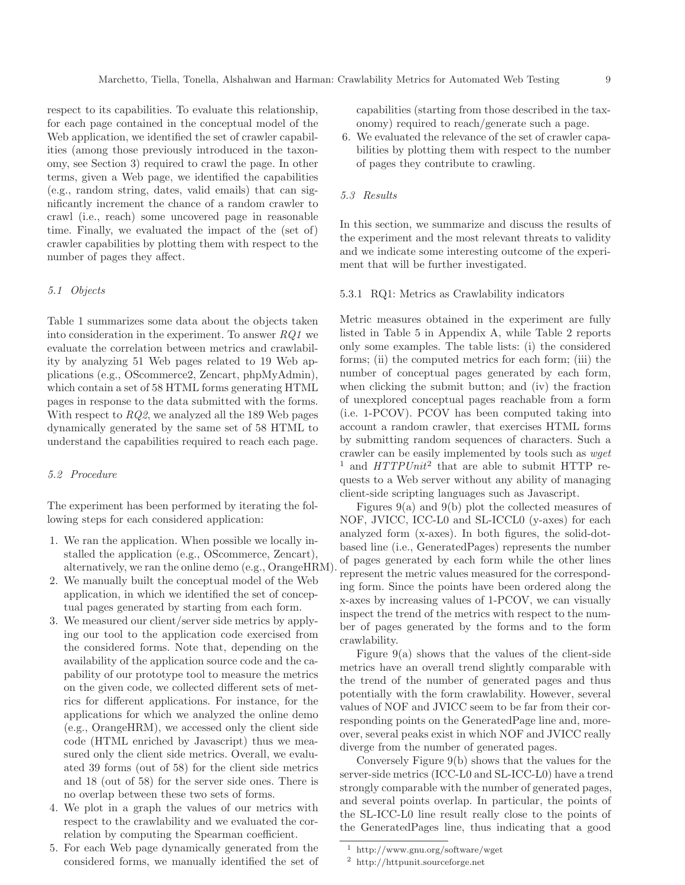respect to its capabilities. To evaluate this relationship, for each page contained in the conceptual model of the Web application, we identified the set of crawler capabilities (among those previously introduced in the taxonomy, see Section 3) required to crawl the page. In other terms, given a Web page, we identified the capabilities (e.g., random string, dates, valid emails) that can significantly increment the chance of a random crawler to crawl (i.e., reach) some uncovered page in reasonable time. Finally, we evaluated the impact of the (set of) crawler capabilities by plotting them with respect to the number of pages they affect.

#### 5.1 Objects

Table 1 summarizes some data about the objects taken into consideration in the experiment. To answer  $RQ1$  we evaluate the correlation between metrics and crawlability by analyzing 51 Web pages related to 19 Web applications (e.g., OScommerce2, Zencart, phpMyAdmin), which contain a set of 58 HTML forms generating HTML pages in response to the data submitted with the forms. With respect to  $RQ2$ , we analyzed all the 189 Web pages dynamically generated by the same set of 58 HTML to understand the capabilities required to reach each page.

#### 5.2 Procedure

The experiment has been performed by iterating the following steps for each considered application:

- 1. We ran the application. When possible we locally installed the application (e.g., OScommerce, Zencart), alternatively, we ran the online demo (e.g., OrangeHRM).
- 2. We manually built the conceptual model of the Web application, in which we identified the set of conceptual pages generated by starting from each form.
- 3. We measured our client/server side metrics by applying our tool to the application code exercised from the considered forms. Note that, depending on the availability of the application source code and the capability of our prototype tool to measure the metrics on the given code, we collected different sets of metrics for different applications. For instance, for the applications for which we analyzed the online demo (e.g., OrangeHRM), we accessed only the client side code (HTML enriched by Javascript) thus we measured only the client side metrics. Overall, we evaluated 39 forms (out of 58) for the client side metrics and 18 (out of 58) for the server side ones. There is no overlap between these two sets of forms.
- 4. We plot in a graph the values of our metrics with respect to the crawlability and we evaluated the correlation by computing the Spearman coefficient.
- 5. For each Web page dynamically generated from the considered forms, we manually identified the set of

capabilities (starting from those described in the taxonomy) required to reach/generate such a page.

6. We evaluated the relevance of the set of crawler capabilities by plotting them with respect to the number of pages they contribute to crawling.

#### 5.3 Results

In this section, we summarize and discuss the results of the experiment and the most relevant threats to validity and we indicate some interesting outcome of the experiment that will be further investigated.

#### 5.3.1 RQ1: Metrics as Crawlability indicators

Metric measures obtained in the experiment are fully listed in Table 5 in Appendix A, while Table 2 reports only some examples. The table lists: (i) the considered forms; (ii) the computed metrics for each form; (iii) the number of conceptual pages generated by each form, when clicking the submit button; and (iv) the fraction of unexplored conceptual pages reachable from a form (i.e. 1-PCOV). PCOV has been computed taking into account a random crawler, that exercises HTML forms by submitting random sequences of characters. Such a crawler can be easily implemented by tools such as wget <sup>1</sup> and  $HTTPUnit^2$  that are able to submit HTTP requests to a Web server without any ability of managing client-side scripting languages such as Javascript.

Figures 9(a) and 9(b) plot the collected measures of NOF, JVICC, ICC-L0 and SL-ICCL0 (y-axes) for each analyzed form (x-axes). In both figures, the solid-dotbased line (i.e., GeneratedPages) represents the number of pages generated by each form while the other lines represent the metric values measured for the corresponding form. Since the points have been ordered along the x-axes by increasing values of 1-PCOV, we can visually inspect the trend of the metrics with respect to the number of pages generated by the forms and to the form crawlability.

Figure 9(a) shows that the values of the client-side metrics have an overall trend slightly comparable with the trend of the number of generated pages and thus potentially with the form crawlability. However, several values of NOF and JVICC seem to be far from their corresponding points on the GeneratedPage line and, moreover, several peaks exist in which NOF and JVICC really diverge from the number of generated pages.

Conversely Figure 9(b) shows that the values for the server-side metrics (ICC-L0 and SL-ICC-L0) have a trend strongly comparable with the number of generated pages, and several points overlap. In particular, the points of the SL-ICC-L0 line result really close to the points of the GeneratedPages line, thus indicating that a good

<sup>1</sup> http://www.gnu.org/software/wget

<sup>2</sup> http://httpunit.sourceforge.net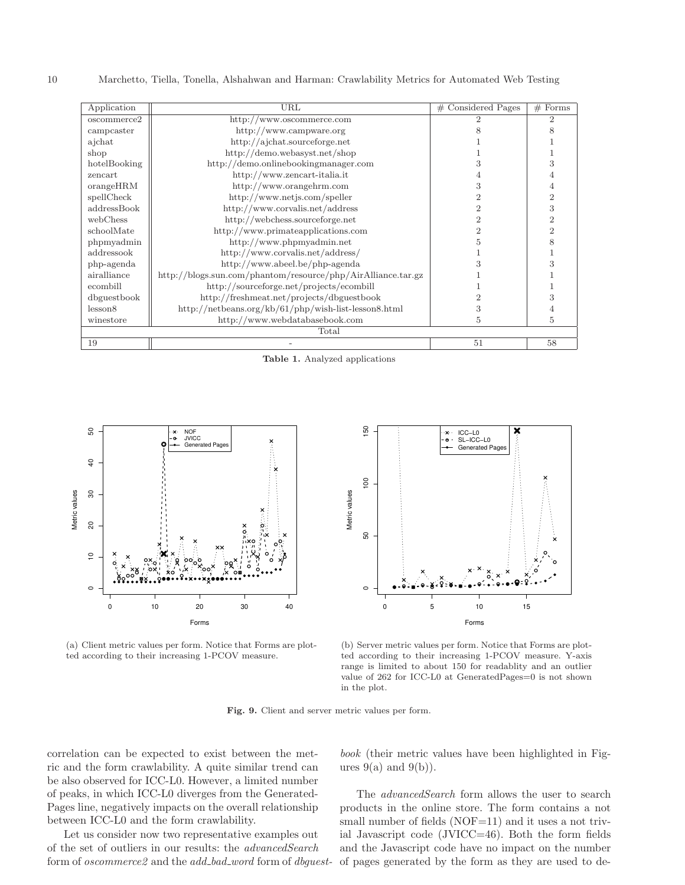| Application  | URL                                                          | $#$ Considered Pages | $#$ Forms |  |  |  |
|--------------|--------------------------------------------------------------|----------------------|-----------|--|--|--|
| oscommerce2  | http://www.oscommerce.com                                    |                      |           |  |  |  |
| campcaster   | http://www.campware.org                                      |                      |           |  |  |  |
| ajchat       | http://ajchat.sourceforge.net                                |                      |           |  |  |  |
| shop         | http://demo.webasyst.net/shop                                |                      |           |  |  |  |
| hotelBooking | http://demo.onlinebookingmanager.com                         |                      |           |  |  |  |
| zencart      | http://www.zencart-italia.it                                 |                      |           |  |  |  |
| orangeHRM    | http://www.orangehrm.com                                     | 3                    |           |  |  |  |
| spellCheck   | http://www.netjs.com/speller                                 |                      |           |  |  |  |
| addressBook  | http://www.corvalis.net/address                              |                      | 3         |  |  |  |
| webChess     | http://webchess.sourceforge.net                              |                      |           |  |  |  |
| schoolMate   | http://www.primateapplications.com                           |                      |           |  |  |  |
| phpmyadmin   | http://www.phpmyadmin.net                                    |                      |           |  |  |  |
| addressook   | http://www.corvalis.net/address/                             |                      |           |  |  |  |
| php-agenda   | http://www.abeel.be/php-agenda                               |                      |           |  |  |  |
| airalliance  | http://blogs.sun.com/phantom/resource/php/AirAlliance.tar.gz |                      |           |  |  |  |
| ecombill     | http://sourceforge.net/projects/ecombill                     |                      |           |  |  |  |
| dbguestbook  | http://freshmeat.net/projects/dbguestbook                    |                      |           |  |  |  |
| less on 8    | http://netbeans.org/kb/61/php/wish-list-lesson8.html         | 3                    |           |  |  |  |
| winestore    | http://www.webdatabasebook.com                               | 5                    | 5         |  |  |  |
| Total        |                                                              |                      |           |  |  |  |
| 19           |                                                              | 51                   | 58        |  |  |  |

Table 1. Analyzed applications



(a) Client metric values per form. Notice that Forms are plotted according to their increasing 1-PCOV measure.



(b) Server metric values per form. Notice that Forms are plotted according to their increasing 1-PCOV measure. Y-axis range is limited to about 150 for readablity and an outlier value of 262 for ICC-L0 at GeneratedPages=0 is not shown in the plot.

Fig. 9. Client and server metric values per form.

correlation can be expected to exist between the metric and the form crawlability. A quite similar trend can be also observed for ICC-L0. However, a limited number of peaks, in which ICC-L0 diverges from the Generated-Pages line, negatively impacts on the overall relationship between ICC-L0 and the form crawlability.

Let us consider now two representative examples out of the set of outliers in our results: the advancedSearch form of *oscommerce*2 and the *add\_bad\_word* form of *dbguest*-

book (their metric values have been highlighted in Figures  $9(a)$  and  $9(b)$ ).

The *advancedSearch* form allows the user to search products in the online store. The form contains a not small number of fields  $(NOF=11)$  and it uses a not trivial Javascript code (JVICC=46). Both the form fields and the Javascript code have no impact on the number of pages generated by the form as they are used to de-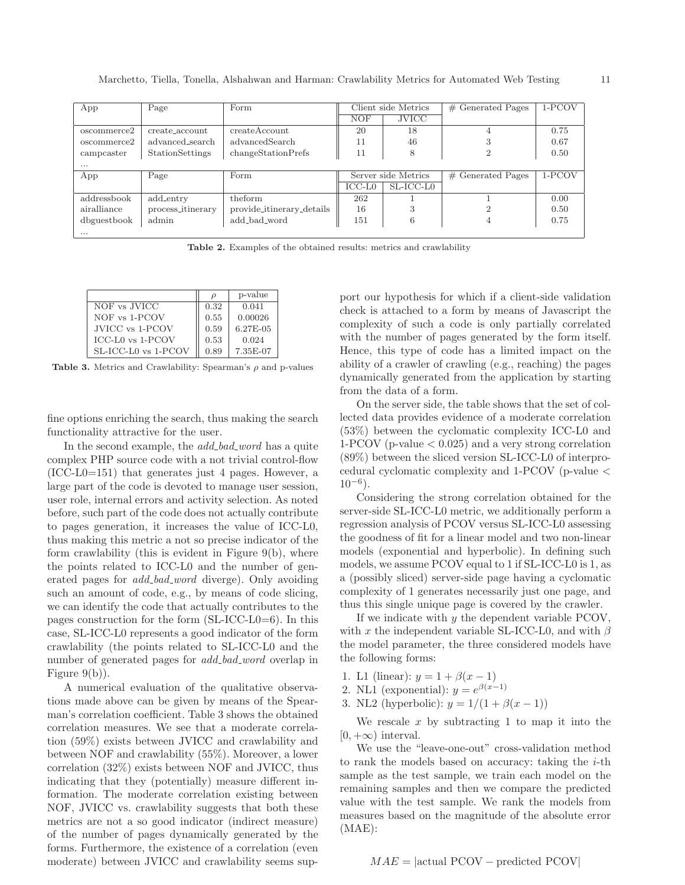| App         | Page              | Form                      | Client side Metrics |              | $\#$ Generated Pages | 1-PCOV |
|-------------|-------------------|---------------------------|---------------------|--------------|----------------------|--------|
|             |                   |                           | <b>NOF</b>          | <b>JVICC</b> |                      |        |
| oscommerce2 | create_account    | createAccount             | 20                  | 18           |                      | 0.75   |
| oscommerce2 | advanced_search   | advancedSearch            | 11                  | 46           |                      | 0.67   |
| campcaster  | StationSettings   | changeStationPrefs        | 11                  | 8            | $\overline{2}$       | 0.50   |
| $\cdots$    |                   |                           |                     |              |                      |        |
| App         | Page              | Form                      | Server side Metrics |              | $\#$ Generated Pages | 1-PCOV |
|             |                   |                           | $ICC-L0$            | $SL-ICC-L0$  |                      |        |
| addressbook | add_entry         | theform                   | 262                 |              |                      | 0.00   |
| airalliance | process_itinerary | provide_itinerary_details | 16                  | 3            | $\Omega$             | 0.50   |
| dbguestbook | admin             | add_bad_word              | 151                 | 6            | 4                    | 0.75   |
| $\cdots$    |                   |                           |                     |              |                      |        |

Table 2. Examples of the obtained results: metrics and crawlability

|                     |      | p-value  |
|---------------------|------|----------|
| NOF vs JVICC        | 0.32 | 0.041    |
| NOF vs 1-PCOV       | 0.55 | 0.00026  |
| JVICC vs 1-PCOV     | 0.59 | 6.27E-05 |
| ICC-L0 vs 1-PCOV    | 0.53 | 0.024    |
| SL-ICC-L0 vs 1-PCOV | 0.89 | 7.35E-07 |

Table 3. Metrics and Crawlability: Spearman's  $\rho$  and p-values

fine options enriching the search, thus making the search functionality attractive for the user.

In the second example, the *add\_bad\_word* has a quite complex PHP source code with a not trivial control-flow (ICC-L0=151) that generates just 4 pages. However, a large part of the code is devoted to manage user session, user role, internal errors and activity selection. As noted before, such part of the code does not actually contribute to pages generation, it increases the value of ICC-L0, thus making this metric a not so precise indicator of the form crawlability (this is evident in Figure 9(b), where the points related to ICC-L0 and the number of generated pages for *add\_bad\_word* diverge). Only avoiding such an amount of code, e.g., by means of code slicing, we can identify the code that actually contributes to the pages construction for the form (SL-ICC-L0=6). In this case, SL-ICC-L0 represents a good indicator of the form crawlability (the points related to SL-ICC-L0 and the number of generated pages for *add\_bad\_word* overlap in Figure 9(b)).

A numerical evaluation of the qualitative observations made above can be given by means of the Spearman's correlation coefficient. Table 3 shows the obtained correlation measures. We see that a moderate correlation (59%) exists between JVICC and crawlability and between NOF and crawlability (55%). Moreover, a lower correlation (32%) exists between NOF and JVICC, thus indicating that they (potentially) measure different information. The moderate correlation existing between NOF, JVICC vs. crawlability suggests that both these metrics are not a so good indicator (indirect measure) of the number of pages dynamically generated by the forms. Furthermore, the existence of a correlation (even moderate) between JVICC and crawlability seems support our hypothesis for which if a client-side validation check is attached to a form by means of Javascript the complexity of such a code is only partially correlated with the number of pages generated by the form itself. Hence, this type of code has a limited impact on the ability of a crawler of crawling (e.g., reaching) the pages dynamically generated from the application by starting from the data of a form.

On the server side, the table shows that the set of collected data provides evidence of a moderate correlation (53%) between the cyclomatic complexity ICC-L0 and 1-PCOV (p-value  $< 0.025$ ) and a very strong correlation (89%) between the sliced version SL-ICC-L0 of interprocedural cyclomatic complexity and 1-PCOV (p-value <  $10^{-6}$ ).

Considering the strong correlation obtained for the server-side SL-ICC-L0 metric, we additionally perform a regression analysis of PCOV versus SL-ICC-L0 assessing the goodness of fit for a linear model and two non-linear models (exponential and hyperbolic). In defining such models, we assume PCOV equal to 1 if SL-ICC-L0 is 1, as a (possibly sliced) server-side page having a cyclomatic complexity of 1 generates necessarily just one page, and thus this single unique page is covered by the crawler.

If we indicate with  $y$  the dependent variable PCOV, with x the independent variable SL-ICC-L0, and with  $\beta$ the model parameter, the three considered models have the following forms:

- 1. L1 (linear):  $y = 1 + \beta(x 1)$
- 2. NL1 (exponential):  $y = e^{\beta(x-1)}$
- 3. NL2 (hyperbolic):  $y = 1/(1 + \beta(x 1))$

We rescale x by subtracting 1 to map it into the  $[0, +\infty)$  interval.

We use the "leave-one-out" cross-validation method to rank the models based on accuracy: taking the  $i$ -th sample as the test sample, we train each model on the remaining samples and then we compare the predicted value with the test sample. We rank the models from measures based on the magnitude of the absolute error (MAE):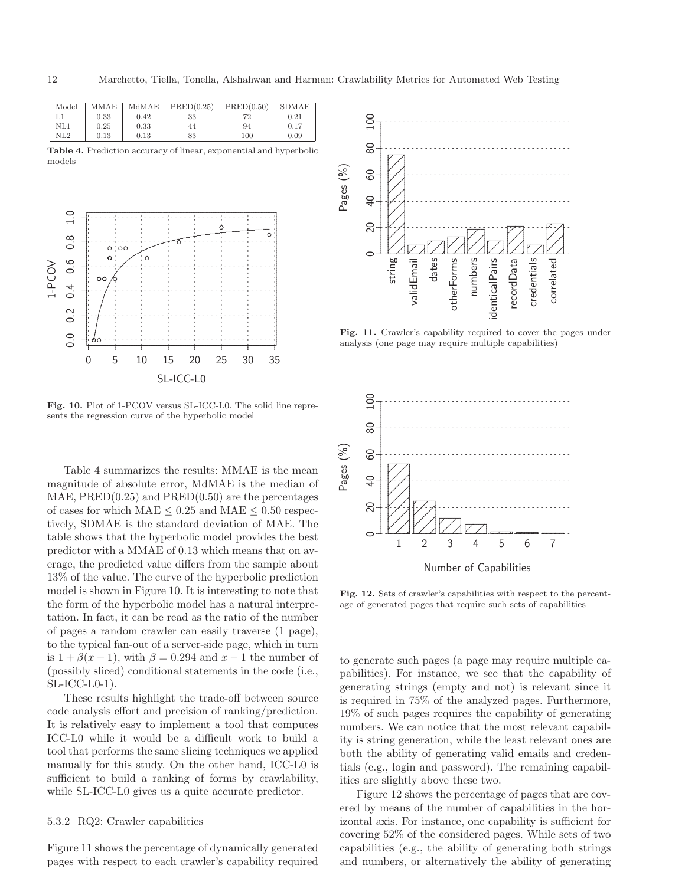| Model | MMAE | MdMAE | PRED(0.25) | PRED(0.50) | <b>SDMAE</b> |
|-------|------|-------|------------|------------|--------------|
|       | 0.33 | 0.42  | 33         | 79         | 0.21         |
| NL1   | 0.25 | 0.33  | 44         | 94         | 0.17         |
| NL2   | 0.13 | 0.13  | 83         | 100        | 0.09         |

 $12\,$ 

Table 4. Prediction accuracy of linear, exponential and hyperbolic models



Fig. 10. Plot of 1-PCOV versus SL-ICC-L0. The solid line represents the regression curve of the hyperbolic model

Table 4 summarizes the results: MMAE is the mean magnitude of absolute error, MdMAE is the median of MAE,  $PRED(0.25)$  and  $PRED(0.50)$  are the percentages of cases for which MAE  $\leq$  0.25 and MAE  $\leq$  0.50 respectively, SDMAE is the standard deviation of MAE. The table shows that the hyperbolic model provides the best predictor with a MMAE of 0.13 which means that on average, the predicted value differs from the sample about 13% of the value. The curve of the hyperbolic prediction model is shown in Figure 10. It is interesting to note that the form of the hyperbolic model has a natural interpretation. In fact, it can be read as the ratio of the number of pages a random crawler can easily traverse (1 page), to the typical fan-out of a server-side page, which in turn is  $1 + \beta(x - 1)$ , with  $\beta = 0.294$  and  $x - 1$  the number of (possibly sliced) conditional statements in the code (i.e.,  $SL-ICC-L0-1$ ).

These results highlight the trade-off between source code analysis effort and precision of ranking/prediction. It is relatively easy to implement a tool that computes ICC-L0 while it would be a difficult work to build a tool that performs the same slicing techniques we applied manually for this study. On the other hand, ICC-L0 is sufficient to build a ranking of forms by crawlability, while SL-ICC-L0 gives us a quite accurate predictor.

#### 5.3.2 RQ2: Crawler capabilities

Figure 11 shows the percentage of dynamically generated pages with respect to each crawler's capability required



Fig. 11. Crawler's capability required to cover the pages under analysis (one page may require multiple capabilities)



Fig. 12. Sets of crawler's capabilities with respect to the percentage of generated pages that require such sets of capabilities

to generate such pages (a page may require multiple capabilities). For instance, we see that the capability of generating strings (empty and not) is relevant since it is required in 75% of the analyzed pages. Furthermore, 19% of such pages requires the capability of generating numbers. We can notice that the most relevant capability is string generation, while the least relevant ones are both the ability of generating valid emails and credentials (e.g., login and password). The remaining capabilities are slightly above these two.

Figure 12 shows the percentage of pages that are covered by means of the number of capabilities in the horizontal axis. For instance, one capability is sufficient for covering  $52\%$  of the considered pages. While sets of two capabilities (e.g., the ability of generating both strings) and numbers, or alternatively the ability of generating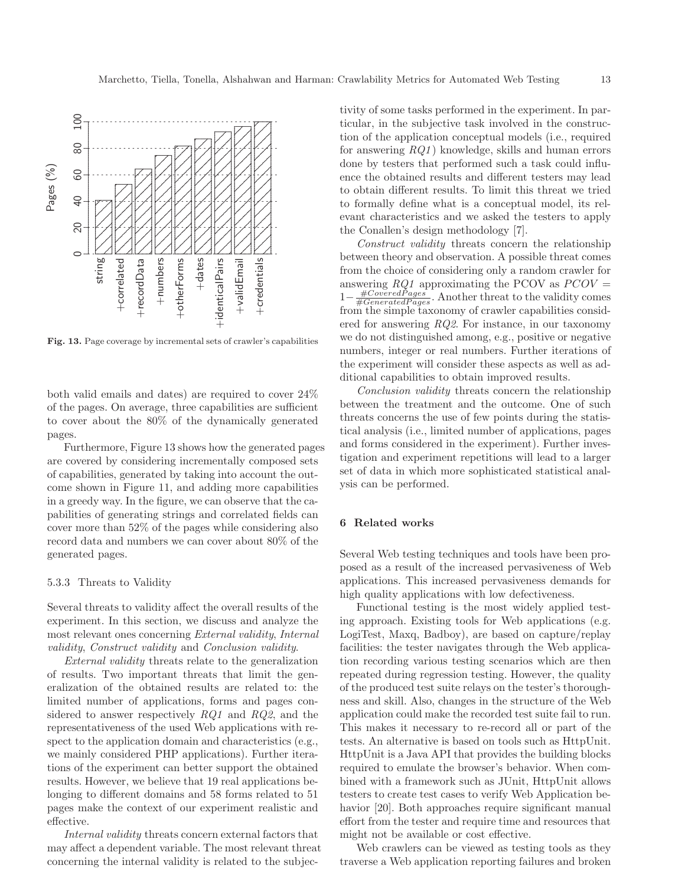

Fig. 13. Page coverage by incremental sets of crawler's capabilities

both valid emails and dates) are required to cover 24% of the pages. On average, three capabilities are sufficient to cover about the 80% of the dynamically generated pages.

Furthermore, Figure 13 shows how the generated pages are covered by considering incrementally composed sets of capabilities, generated by taking into account the outcome shown in Figure 11, and adding more capabilities in a greedy way. In the figure, we can observe that the capabilities of generating strings and correlated fields can cover more than 52% of the pages while considering also record data and numbers we can cover about 80% of the generated pages.

#### 5.3.3 Threats to Validity

Several threats to validity affect the overall results of the experiment. In this section, we discuss and analyze the most relevant ones concerning External validity, Internal validity, Construct validity and Conclusion validity.

External validity threats relate to the generalization of results. Two important threats that limit the generalization of the obtained results are related to: the limited number of applications, forms and pages considered to answer respectively RQ1 and RQ2, and the representativeness of the used Web applications with respect to the application domain and characteristics (e.g., we mainly considered PHP applications). Further iterations of the experiment can better support the obtained results. However, we believe that 19 real applications belonging to different domains and 58 forms related to 51 pages make the context of our experiment realistic and effective.

Internal validity threats concern external factors that may affect a dependent variable. The most relevant threat concerning the internal validity is related to the subjectivity of some tasks performed in the experiment. In particular, in the subjective task involved in the construction of the application conceptual models (i.e., required for answering  $RQ1$  knowledge, skills and human errors done by testers that performed such a task could influence the obtained results and different testers may lead to obtain different results. To limit this threat we tried to formally define what is a conceptual model, its relevant characteristics and we asked the testers to apply the Conallen's design methodology [7].

Construct validity threats concern the relationship between theory and observation. A possible threat comes from the choice of considering only a random crawler for answering  $RQ1$  approximating the PCOV as  $PCOV =$ 1−  $\frac{\text{\#Covered Pages}}{\text{\#General Pages}}$ . Another threat to the validity comes from the simple taxonomy of crawler capabilities considered for answering  $RQ2$ . For instance, in our taxonomy we do not distinguished among, e.g., positive or negative numbers, integer or real numbers. Further iterations of the experiment will consider these aspects as well as additional capabilities to obtain improved results.

Conclusion validity threats concern the relationship between the treatment and the outcome. One of such threats concerns the use of few points during the statistical analysis (i.e., limited number of applications, pages and forms considered in the experiment). Further investigation and experiment repetitions will lead to a larger set of data in which more sophisticated statistical analysis can be performed.

### 6 Related works

Several Web testing techniques and tools have been proposed as a result of the increased pervasiveness of Web applications. This increased pervasiveness demands for high quality applications with low defectiveness.

Functional testing is the most widely applied testing approach. Existing tools for Web applications (e.g. LogiTest, Maxq, Badboy), are based on capture/replay facilities: the tester navigates through the Web application recording various testing scenarios which are then repeated during regression testing. However, the quality of the produced test suite relays on the tester's thoroughness and skill. Also, changes in the structure of the Web application could make the recorded test suite fail to run. This makes it necessary to re-record all or part of the tests. An alternative is based on tools such as HttpUnit. HttpUnit is a Java API that provides the building blocks required to emulate the browser's behavior. When combined with a framework such as JUnit, HttpUnit allows testers to create test cases to verify Web Application behavior [20]. Both approaches require significant manual effort from the tester and require time and resources that might not be available or cost effective.

Web crawlers can be viewed as testing tools as they traverse a Web application reporting failures and broken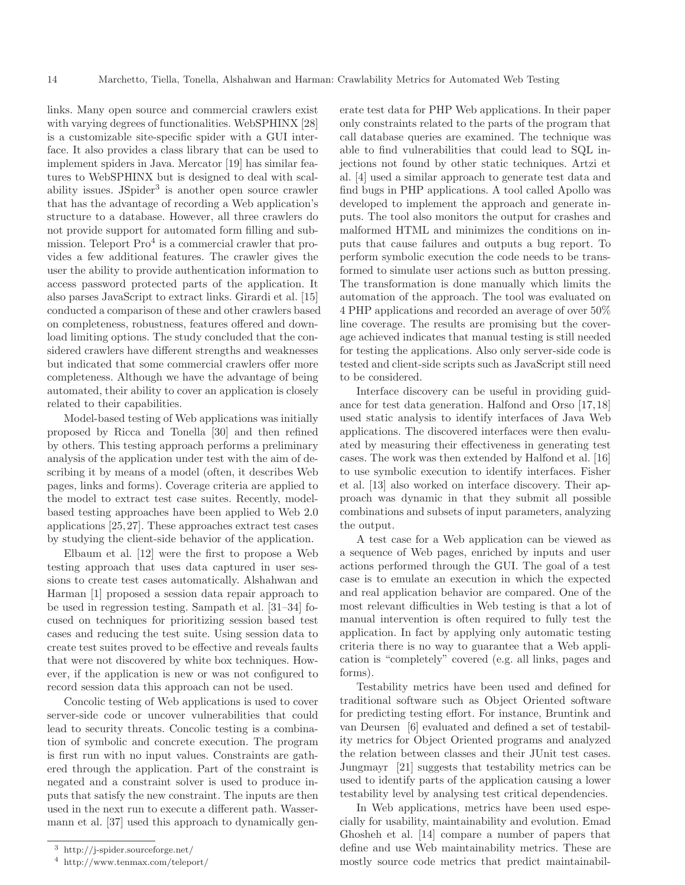links. Many open source and commercial crawlers exist with varying degrees of functionalities. WebSPHINX [28] is a customizable site-specific spider with a GUI interface. It also provides a class library that can be used to implement spiders in Java. Mercator [19] has similar features to WebSPHINX but is designed to deal with scalability issues. JSpider<sup>3</sup> is another open source crawler that has the advantage of recording a Web application's structure to a database. However, all three crawlers do not provide support for automated form filling and submission. Teleport  $Pro<sup>4</sup>$  is a commercial crawler that provides a few additional features. The crawler gives the user the ability to provide authentication information to access password protected parts of the application. It also parses JavaScript to extract links. Girardi et al. [15] conducted a comparison of these and other crawlers based on completeness, robustness, features offered and download limiting options. The study concluded that the considered crawlers have different strengths and weaknesses but indicated that some commercial crawlers offer more completeness. Although we have the advantage of being automated, their ability to cover an application is closely related to their capabilities.

Model-based testing of Web applications was initially proposed by Ricca and Tonella [30] and then refined by others. This testing approach performs a preliminary analysis of the application under test with the aim of describing it by means of a model (often, it describes Web pages, links and forms). Coverage criteria are applied to the model to extract test case suites. Recently, modelbased testing approaches have been applied to Web 2.0 applications [25,27]. These approaches extract test cases by studying the client-side behavior of the application.

Elbaum et al. [12] were the first to propose a Web testing approach that uses data captured in user sessions to create test cases automatically. Alshahwan and Harman [1] proposed a session data repair approach to be used in regression testing. Sampath et al. [31–34] focused on techniques for prioritizing session based test cases and reducing the test suite. Using session data to create test suites proved to be effective and reveals faults that were not discovered by white box techniques. However, if the application is new or was not configured to record session data this approach can not be used.

Concolic testing of Web applications is used to cover server-side code or uncover vulnerabilities that could lead to security threats. Concolic testing is a combination of symbolic and concrete execution. The program is first run with no input values. Constraints are gathered through the application. Part of the constraint is negated and a constraint solver is used to produce inputs that satisfy the new constraint. The inputs are then used in the next run to execute a different path. Wassermann et al. [37] used this approach to dynamically generate test data for PHP Web applications. In their paper only constraints related to the parts of the program that call database queries are examined. The technique was able to find vulnerabilities that could lead to SQL injections not found by other static techniques. Artzi et al. [4] used a similar approach to generate test data and find bugs in PHP applications. A tool called Apollo was developed to implement the approach and generate inputs. The tool also monitors the output for crashes and malformed HTML and minimizes the conditions on inputs that cause failures and outputs a bug report. To perform symbolic execution the code needs to be transformed to simulate user actions such as button pressing. The transformation is done manually which limits the automation of the approach. The tool was evaluated on 4 PHP applications and recorded an average of over 50% line coverage. The results are promising but the coverage achieved indicates that manual testing is still needed for testing the applications. Also only server-side code is tested and client-side scripts such as JavaScript still need to be considered.

Interface discovery can be useful in providing guidance for test data generation. Halfond and Orso [17,18] used static analysis to identify interfaces of Java Web applications. The discovered interfaces were then evaluated by measuring their effectiveness in generating test cases. The work was then extended by Halfond et al. [16] to use symbolic execution to identify interfaces. Fisher et al. [13] also worked on interface discovery. Their approach was dynamic in that they submit all possible combinations and subsets of input parameters, analyzing the output.

A test case for a Web application can be viewed as a sequence of Web pages, enriched by inputs and user actions performed through the GUI. The goal of a test case is to emulate an execution in which the expected and real application behavior are compared. One of the most relevant difficulties in Web testing is that a lot of manual intervention is often required to fully test the application. In fact by applying only automatic testing criteria there is no way to guarantee that a Web application is "completely" covered (e.g. all links, pages and forms).

Testability metrics have been used and defined for traditional software such as Object Oriented software for predicting testing effort. For instance, Bruntink and van Deursen [6] evaluated and defined a set of testability metrics for Object Oriented programs and analyzed the relation between classes and their JUnit test cases. Jungmayr [21] suggests that testability metrics can be used to identify parts of the application causing a lower testability level by analysing test critical dependencies.

In Web applications, metrics have been used especially for usability, maintainability and evolution. Emad Ghosheh et al. [14] compare a number of papers that define and use Web maintainability metrics. These are mostly source code metrics that predict maintainabil-

<sup>3</sup> http://j-spider.sourceforge.net/

<sup>4</sup> http://www.tenmax.com/teleport/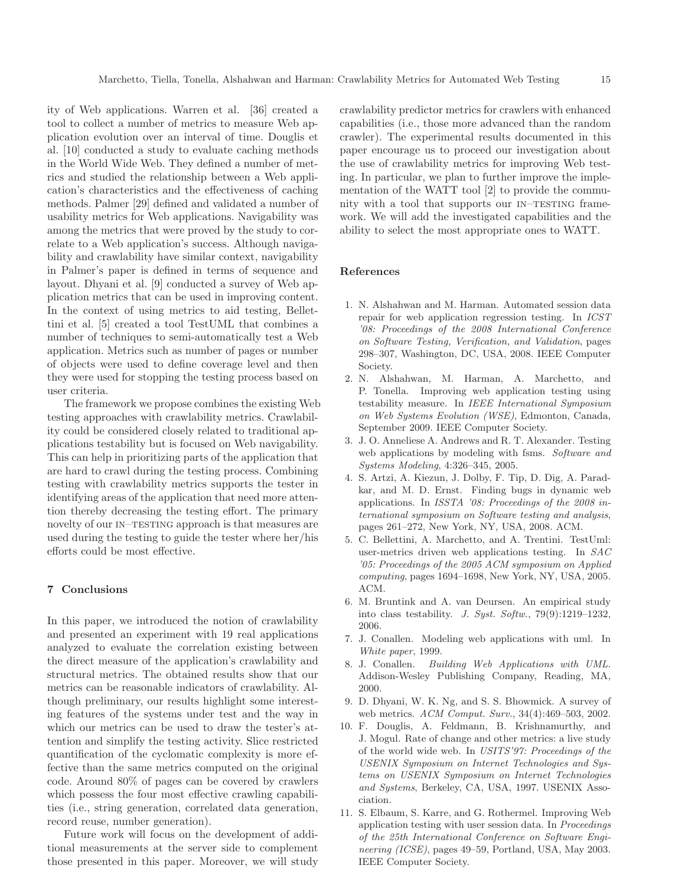ity of Web applications. Warren et al. [36] created a tool to collect a number of metrics to measure Web application evolution over an interval of time. Douglis et al. [10] conducted a study to evaluate caching methods in the World Wide Web. They defined a number of metrics and studied the relationship between a Web application's characteristics and the effectiveness of caching methods. Palmer [29] defined and validated a number of usability metrics for Web applications. Navigability was among the metrics that were proved by the study to correlate to a Web application's success. Although navigability and crawlability have similar context, navigability in Palmer's paper is defined in terms of sequence and layout. Dhyani et al. [9] conducted a survey of Web application metrics that can be used in improving content. In the context of using metrics to aid testing, Bellettini et al. [5] created a tool TestUML that combines a number of techniques to semi-automatically test a Web application. Metrics such as number of pages or number of objects were used to define coverage level and then they were used for stopping the testing process based on user criteria.

The framework we propose combines the existing Web testing approaches with crawlability metrics. Crawlability could be considered closely related to traditional applications testability but is focused on Web navigability. This can help in prioritizing parts of the application that are hard to crawl during the testing process. Combining testing with crawlability metrics supports the tester in identifying areas of the application that need more attention thereby decreasing the testing effort. The primary novelty of our IN–TESTING approach is that measures are used during the testing to guide the tester where her/his efforts could be most effective.

# 7 Conclusions

In this paper, we introduced the notion of crawlability and presented an experiment with 19 real applications analyzed to evaluate the correlation existing between the direct measure of the application's crawlability and structural metrics. The obtained results show that our metrics can be reasonable indicators of crawlability. Although preliminary, our results highlight some interesting features of the systems under test and the way in which our metrics can be used to draw the tester's attention and simplify the testing activity. Slice restricted quantification of the cyclomatic complexity is more effective than the same metrics computed on the original code. Around 80% of pages can be covered by crawlers which possess the four most effective crawling capabilities (i.e., string generation, correlated data generation, record reuse, number generation).

Future work will focus on the development of additional measurements at the server side to complement those presented in this paper. Moreover, we will study crawlability predictor metrics for crawlers with enhanced capabilities (i.e., those more advanced than the random crawler). The experimental results documented in this paper encourage us to proceed our investigation about the use of crawlability metrics for improving Web testing. In particular, we plan to further improve the implementation of the WATT tool [2] to provide the community with a tool that supports our IN–TESTING framework. We will add the investigated capabilities and the ability to select the most appropriate ones to WATT.

#### References

- 1. N. Alshahwan and M. Harman. Automated session data repair for web application regression testing. In ICST '08: Proceedings of the 2008 International Conference on Software Testing, Verification, and Validation, pages 298–307, Washington, DC, USA, 2008. IEEE Computer Society.
- 2. N. Alshahwan, M. Harman, A. Marchetto, and P. Tonella. Improving web application testing using testability measure. In IEEE International Symposium on Web Systems Evolution (WSE), Edmonton, Canada, September 2009. IEEE Computer Society.
- 3. J. O. Anneliese A. Andrews and R. T. Alexander. Testing web applications by modeling with fsms. Software and Systems Modeling, 4:326–345, 2005.
- 4. S. Artzi, A. Kiezun, J. Dolby, F. Tip, D. Dig, A. Paradkar, and M. D. Ernst. Finding bugs in dynamic web applications. In ISSTA '08: Proceedings of the 2008 international symposium on Software testing and analysis, pages 261–272, New York, NY, USA, 2008. ACM.
- 5. C. Bellettini, A. Marchetto, and A. Trentini. TestUml: user-metrics driven web applications testing. In SAC '05: Proceedings of the 2005 ACM symposium on Applied computing, pages 1694–1698, New York, NY, USA, 2005. ACM.
- 6. M. Bruntink and A. van Deursen. An empirical study into class testability. J. Syst. Softw.,  $79(9):1219-1232$ , 2006.
- 7. J. Conallen. Modeling web applications with uml. In White paper, 1999.
- 8. J. Conallen. Building Web Applications with UML. Addison-Wesley Publishing Company, Reading, MA, 2000.
- 9. D. Dhyani, W. K. Ng, and S. S. Bhowmick. A survey of web metrics. ACM Comput. Surv., 34(4):469-503, 2002.
- 10. F. Douglis, A. Feldmann, B. Krishnamurthy, and J. Mogul. Rate of change and other metrics: a live study of the world wide web. In USITS'97: Proceedings of the USENIX Symposium on Internet Technologies and Systems on USENIX Symposium on Internet Technologies and Systems, Berkeley, CA, USA, 1997. USENIX Association.
- 11. S. Elbaum, S. Karre, and G. Rothermel. Improving Web application testing with user session data. In Proceedings of the 25th International Conference on Software Engineering (ICSE), pages 49–59, Portland, USA, May 2003. IEEE Computer Society.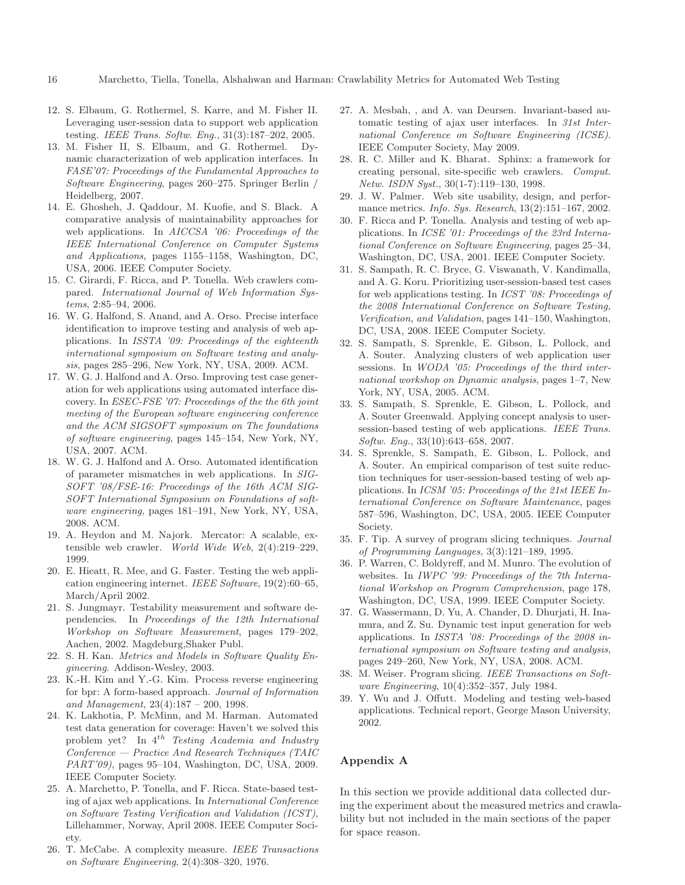- 12. S. Elbaum, G. Rothermel, S. Karre, and M. Fisher II. Leveraging user-session data to support web application testing. IEEE Trans. Softw. Eng., 31(3):187–202, 2005.
- 13. M. Fisher II, S. Elbaum, and G. Rothermel. Dynamic characterization of web application interfaces. In FASE'07: Proceedings of the Fundamental Approaches to Software Engineering, pages 260–275. Springer Berlin / Heidelberg, 2007.
- 14. E. Ghosheh, J. Qaddour, M. Kuofie, and S. Black. A comparative analysis of maintainability approaches for web applications. In AICCSA '06: Proceedings of the IEEE International Conference on Computer Systems and Applications, pages 1155–1158, Washington, DC, USA, 2006. IEEE Computer Society.
- 15. C. Girardi, F. Ricca, and P. Tonella. Web crawlers compared. International Journal of Web Information Systems, 2:85–94, 2006.
- 16. W. G. Halfond, S. Anand, and A. Orso. Precise interface identification to improve testing and analysis of web applications. In ISSTA '09: Proceedings of the eighteenth international symposium on Software testing and analysis, pages 285–296, New York, NY, USA, 2009. ACM.
- 17. W. G. J. Halfond and A. Orso. Improving test case generation for web applications using automated interface discovery. In ESEC-FSE '07: Proceedings of the the 6th joint meeting of the European software engineering conference and the ACM SIGSOFT symposium on The foundations of software engineering, pages 145–154, New York, NY, USA, 2007. ACM.
- 18. W. G. J. Halfond and A. Orso. Automated identification of parameter mismatches in web applications. In SIG-SOFT '08/FSE-16: Proceedings of the 16th ACM SIG-SOFT International Symposium on Foundations of software engineering, pages 181–191, New York, NY, USA, 2008. ACM.
- 19. A. Heydon and M. Najork. Mercator: A scalable, extensible web crawler. World Wide Web,  $2(4):219-229$ , 1999.
- 20. E. Hieatt, R. Mee, and G. Faster. Testing the web application engineering internet. IEEE Software, 19(2):60-65, March/April 2002.
- 21. S. Jungmayr. Testability measurement and software dependencies. In Proceedings of the 12th International Workshop on Software Measurement, pages 179–202, Aachen, 2002. Magdeburg,Shaker Publ.
- 22. S. H. Kan. Metrics and Models in Software Quality Engineering. Addison-Wesley, 2003.
- 23. K.-H. Kim and Y.-G. Kim. Process reverse engineering for bpr: A form-based approach. Journal of Information and Management, 23(4):187 – 200, 1998.
- 24. K. Lakhotia, P. McMinn, and M. Harman. Automated test data generation for coverage: Haven't we solved this problem yet? In  $4^{th}$  Testing Academia and Industry Conference — Practice And Research Techniques (TAIC PART'09), pages 95–104, Washington, DC, USA, 2009. IEEE Computer Society.
- 25. A. Marchetto, P. Tonella, and F. Ricca. State-based testing of ajax web applications. In International Conference on Software Testing Verification and Validation (ICST), Lillehammer, Norway, April 2008. IEEE Computer Society.
- 26. T. McCabe. A complexity measure. IEEE Transactions on Software Engineering, 2(4):308–320, 1976.
- 27. A. Mesbah, , and A. van Deursen. Invariant-based automatic testing of ajax user interfaces. In 31st International Conference on Software Engineering (ICSE). IEEE Computer Society, May 2009.
- 28. R. C. Miller and K. Bharat. Sphinx: a framework for creating personal, site-specific web crawlers. Comput. Netw. ISDN Syst., 30(1-7):119–130, 1998.
- 29. J. W. Palmer. Web site usability, design, and performance metrics. *Info. Sys. Research*, 13(2):151-167, 2002.
- 30. F. Ricca and P. Tonella. Analysis and testing of web applications. In ICSE '01: Proceedings of the 23rd International Conference on Software Engineering, pages 25–34, Washington, DC, USA, 2001. IEEE Computer Society.
- 31. S. Sampath, R. C. Bryce, G. Viswanath, V. Kandimalla, and A. G. Koru. Prioritizing user-session-based test cases for web applications testing. In ICST '08: Proceedings of the 2008 International Conference on Software Testing, Verification, and Validation, pages 141–150, Washington, DC, USA, 2008. IEEE Computer Society.
- 32. S. Sampath, S. Sprenkle, E. Gibson, L. Pollock, and A. Souter. Analyzing clusters of web application user sessions. In *WODA* '05: Proceedings of the third international workshop on Dynamic analysis, pages 1–7, New York, NY, USA, 2005. ACM.
- 33. S. Sampath, S. Sprenkle, E. Gibson, L. Pollock, and A. Souter Greenwald. Applying concept analysis to usersession-based testing of web applications. IEEE Trans. Softw. Eng., 33(10):643–658, 2007.
- 34. S. Sprenkle, S. Sampath, E. Gibson, L. Pollock, and A. Souter. An empirical comparison of test suite reduction techniques for user-session-based testing of web applications. In ICSM '05: Proceedings of the 21st IEEE International Conference on Software Maintenance, pages 587–596, Washington, DC, USA, 2005. IEEE Computer Society.
- 35. F. Tip. A survey of program slicing techniques. Journal of Programming Languages, 3(3):121–189, 1995.
- 36. P. Warren, C. Boldyreff, and M. Munro. The evolution of websites. In IWPC '99: Proceedings of the 7th International Workshop on Program Comprehension, page 178, Washington, DC, USA, 1999. IEEE Computer Society.
- 37. G. Wassermann, D. Yu, A. Chander, D. Dhurjati, H. Inamura, and Z. Su. Dynamic test input generation for web applications. In ISSTA '08: Proceedings of the 2008 international symposium on Software testing and analysis, pages 249–260, New York, NY, USA, 2008. ACM.
- 38. M. Weiser. Program slicing. IEEE Transactions on Software Engineering, 10(4):352–357, July 1984.
- 39. Y. Wu and J. Offutt. Modeling and testing web-based applications. Technical report, George Mason University, 2002.

# Appendix A

In this section we provide additional data collected during the experiment about the measured metrics and crawlability but not included in the main sections of the paper for space reason.